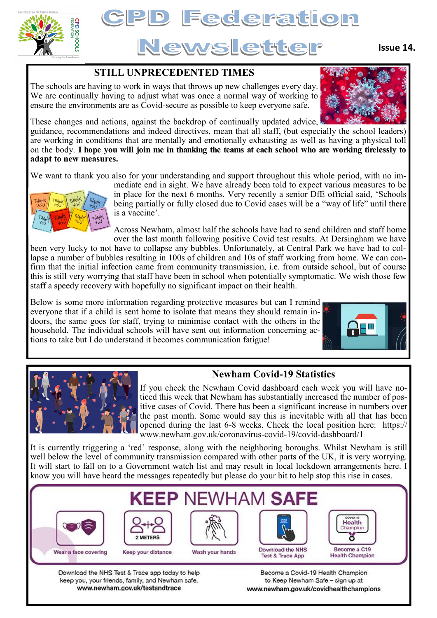



**Issue 14.**

## **STILL UNPRECEDENTED TIMES**

The schools are having to work in ways that throws up new challenges every day. We are continually having to adjust what was once a normal way of working to ensure the environments are as Covid-secure as possible to keep everyone safe.



These changes and actions, against the backdrop of continually updated advice,

guidance, recommendations and indeed directives, mean that all staff, (but especially the school leaders) are working in conditions that are mentally and emotionally exhausting as well as having a physical toll on the body. **I hope you will join me in thanking the teams at each school who are working tirelessly to adapt to new measures.** 

We want to thank you also for your understanding and support throughout this whole period, with no im-



mediate end in sight. We have already been told to expect various measures to be in place for the next 6 months. Very recently a senior DfE official said, 'Schools being partially or fully closed due to Covid cases will be a "way of life" until there is a vaccine'.

Across Newham, almost half the schools have had to send children and staff home over the last month following positive Covid test results. At Dersingham we have

been very lucky to not have to collapse any bubbles. Unfortunately, at Central Park we have had to collapse a number of bubbles resulting in 100s of children and 10s of staff working from home. We can confirm that the initial infection came from community transmission, i.e. from outside school, but of course this is still very worrying that staff have been in school when potentially symptomatic. We wish those few staff a speedy recovery with hopefully no significant impact on their health.

Below is some more information regarding protective measures but can I remind everyone that if a child is sent home to isolate that means they should remain indoors, the same goes for staff, trying to minimise contact with the others in the household. The individual schools will have sent out information concerning actions to take but I do understand it becomes communication fatigue!





# **Newham Covid-19 Statistics**

If you check the Newham Covid dashboard each week you will have noticed this week that Newham has substantially increased the number of positive cases of Covid. There has been a significant increase in numbers over the past month. Some would say this is inevitable with all that has been opened during the last 6-8 weeks. Check the local position here: https:// www.newham.gov.uk/coronavirus-covid-19/covid-dashboard/1

It is currently triggering a 'red' response, along with the neighboring boroughs. Whilst Newham is still well below the level of community transmission compared with other parts of the UK, it is very worrying. It will start to fall on to a Government watch list and may result in local lockdown arrangements here. I know you will have heard the messages repeatedly but please do your bit to help stop this rise in cases.



keep you, your friends, family, and Newham safe. www.newham.gov.uk/testandtrace

to Keep Newham Safe - sign up at www.newham.gov.uk/covidhealthchampions